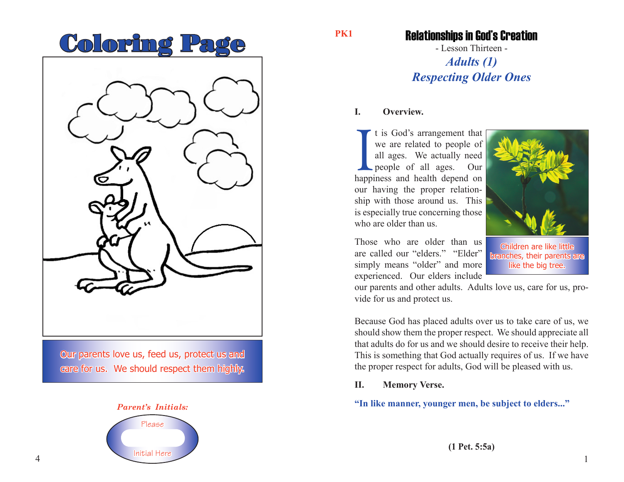# Coloring Page



Our parents love us, feed us, protect us and care for us. We should respect them highly.



#### **PK1**

### Relationships in God's Creation

- Lesson Thirteen - *Adults (1) Respecting Older Ones*

#### **I. Overview.**

I t is God's arrangement that<br>we are related to people of<br>all ages. We actually need<br>people of all ages. Our<br>happiness and health depend on t is God's arrangement that we are related to people of all ages. We actually need people of all ages. Our our having the proper relationship with those around us. This is especially true concerning those who are older than us.

Those who are older than us are called our "elders." "Elder" simply means "older" and more experienced. Our elders include

Children are like little branches, their parents are like the big tree.

1

our parents and other adults. Adults love us, care for us, provide for us and protect us.

Because God has placed adults over us to take care of us, we should show them the proper respect. We should appreciate all that adults do for us and we should desire to receive their help. This is something that God actually requires of us. If we have the proper respect for adults, God will be pleased with us.

#### **II. Memory Verse.**

**"In like manner, younger men, be subject to elders..."**

**(1 Pet. 5:5a)**